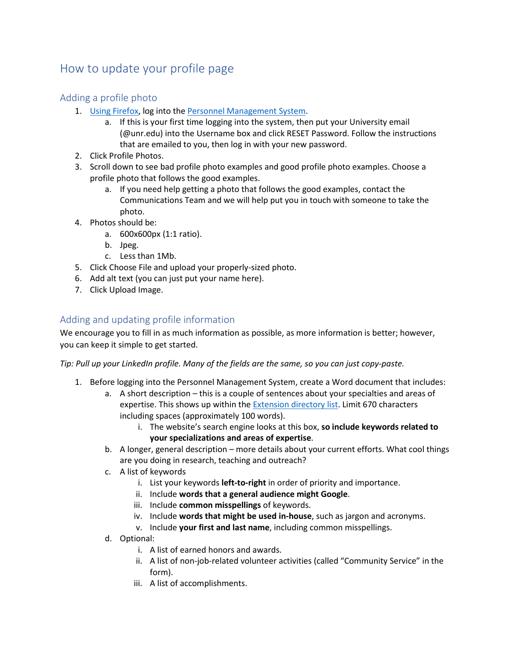## How to update your profile page

## Adding a profile photo

- 1. Using [Firefox,](https://www.mozilla.org/en-US/firefox/new/) log into the [Personnel Management System.](https://naes.agnt.unr.edu/PMS/Login.aspx?ReturnUrl=%2fPMS%2f)
	- a. If this is your first time logging into the system, then put your University email (@unr.edu) into the Username box and click RESET Password. Follow the instructions that are emailed to you, then log in with your new password.
- 2. Click Profile Photos.
- 3. Scroll down to see bad profile photo examples and good profile photo examples. Choose a profile photo that follows the good examples.
	- a. If you need help getting a photo that follows the good examples, contact the Communications Team and we will help put you in touch with someone to take the photo.
- 4. Photos should be:
	- a. 600x600px (1:1 ratio).
	- b. Jpeg.
	- c. Less than 1Mb.
- 5. Click Choose File and upload your properly-sized photo.
- 6. Add alt text (you can just put your name here).
- 7. Click Upload Image.

## Adding and updating profile information

We encourage you to fill in as much information as possible, as more information is better; however, you can keep it simple to get started.

*Tip: Pull up your LinkedIn profile. Many of the fields are the same, so you can just copy-paste.*

- 1. Before logging into the Personnel Management System, create a Word document that includes:
	- a. A short description this is a couple of sentences about your specialties and areas of expertise. This shows up within the Extension [directory list.](https://extension.unr.edu/directory.aspx) Limit 670 characters including spaces (approximately 100 words).
		- i. The website's search engine looks at this box, **so include keywords related to your specializations and areas of expertise**.
	- b. A longer, general description more details about your current efforts. What cool things are you doing in research, teaching and outreach?
	- c. A list of keywords
		- i. List your keywords **left-to-right** in order of priority and importance.
		- ii. Include **words that a general audience might Google**.
		- iii. Include **common misspellings** of keywords.
		- iv. Include **words that might be used in-house**, such as jargon and acronyms.
		- v. Include **your first and last name**, including common misspellings.
	- d. Optional:
		- i. A list of earned honors and awards.
		- ii. A list of non-job-related volunteer activities (called "Community Service" in the form).
		- iii. A list of accomplishments.